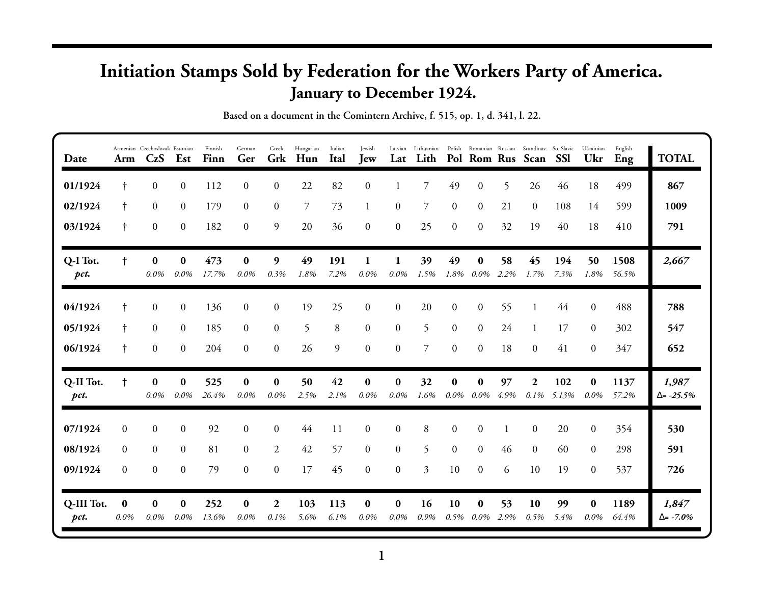## **Initiation Stamps Sold by Federation for the Workers Party of America. January to December 1924.**

| Date               | Arm              | Armenian Czechoslovak Estonian<br>CzS | Est                 | Finnish<br>Finn | German<br>Ger       | Greek<br>Grk     | Hungarian<br>Hun | Italian<br>Ital | Jewish<br><b>Jew</b> | Lat                 | Latvian Lithuanian<br>Lith |                     |                     |            | Polish Romanian Russian Scandinav. So. Slavic<br>Pol Rom Rus Scan | <b>SSI</b>   | Ukrainian<br>Ukr    | English<br>Eng | <b>TOTAL</b>                |
|--------------------|------------------|---------------------------------------|---------------------|-----------------|---------------------|------------------|------------------|-----------------|----------------------|---------------------|----------------------------|---------------------|---------------------|------------|-------------------------------------------------------------------|--------------|---------------------|----------------|-----------------------------|
| 01/1924            | $\ddagger$       | $\overline{0}$                        | $\mathbf{0}$        | 112             | $\theta$            | $\overline{0}$   | 22               | 82              | $\overline{0}$       |                     | $\overline{7}$             | 49                  | $\overline{0}$      | 5.         | 26                                                                | 46           | 18                  | 499            | 867                         |
| 02/1924            | $\dagger$        | $\overline{0}$                        | $\boldsymbol{0}$    | 179             | $\overline{0}$      | $\boldsymbol{0}$ | 7                | 73              | 1                    | $\overline{0}$      | 7                          | $\overline{0}$      | $\overline{0}$      | 21         | $\overline{0}$                                                    | 108          | 14                  | 599            | 1009                        |
| 03/1924            | $\dagger$        | $\mathbf{0}$                          | $\boldsymbol{0}$    | 182             | $\theta$            | 9                | 20               | 36              | $\theta$             | $\overline{0}$      | 25                         | $\overline{0}$      | $\theta$            | 32         | 19                                                                | 40           | 18                  | 410            | 791                         |
| Q-I Tot.<br>pct.   | $\dagger$        | $\bf{0}$<br>0.0%                      | $\bf{0}$<br>0.0%    | 473<br>17.7%    | $\bf{0}$<br>0.0%    | 9<br>0.3%        | 49<br>1.8%       | 191<br>7.2%     | 1<br>0.0%            | 1<br>0.0%           | 39<br>1.5%                 | 49<br>1.8%          | $\bf{0}$<br>$0.0\%$ | 58<br>2.2% | 45<br>1.7%                                                        | 194<br>7.3%  | 50<br>1.8%          | 1508<br>56.5%  | 2,667                       |
| 04/1924            | t                | $\boldsymbol{0}$                      | $\boldsymbol{0}$    | 136             | $\overline{0}$      | $\boldsymbol{0}$ | 19               | 25              | $\overline{0}$       | $\overline{0}$      | 20                         | $\overline{0}$      | $\overline{0}$      | 55         | 1                                                                 | 44           | $\overline{0}$      | 488            | 788                         |
| 05/1924            | $\dagger$        | $\overline{0}$                        | $\boldsymbol{0}$    | 185             | $\overline{0}$      | $\mathbf{0}$     | 5                | 8               | $\overline{0}$       | $\overline{0}$      | 5                          | $\overline{0}$      | $\overline{0}$      | 24         | 1                                                                 | 17           | $\overline{0}$      | 302            | 547                         |
| 06/1924            | $\dagger$        | $\boldsymbol{0}$                      | $\boldsymbol{0}$    | 204             | $\overline{0}$      | $\boldsymbol{0}$ | 26               | 9               | $\overline{0}$       | $\overline{0}$      | $\overline{7}$             | $\overline{0}$      | $\overline{0}$      | 18         | $\overline{0}$                                                    | 41           | $\overline{0}$      | 347            | 652                         |
| Q-II Tot.<br>pct.  | $\ddagger$       | $\bf{0}$<br>$0.0\%$                   | $\bf{0}$<br>$0.0\%$ | 525<br>26.4%    | $\bf{0}$<br>0.0%    | $\bf{0}$<br>0.0% | 50<br>2.5%       | 42<br>2.1%      | $\bf{0}$<br>$0.0\%$  | $\bf{0}$<br>$0.0\%$ | 32<br>1.6%                 | $\bf{0}$<br>$0.0\%$ | $\bf{0}$<br>$0.0\%$ | 97<br>4.9% | $\boldsymbol{2}$<br>0.1%                                          | 102<br>5.13% | $\bf{0}$<br>0.0%    | 1137<br>57.2%  | 1,987<br>$\Delta = -25.5\%$ |
| 07/1924            | $\Omega$         | $\overline{0}$                        | $\boldsymbol{0}$    | 92              | $\overline{0}$      | $\overline{0}$   | 44               | 11              | $\overline{0}$       | $\overline{0}$      | 8                          | $\Omega$            | $\theta$            |            | 0                                                                 | 20           | $\theta$            | 354            | 530                         |
| 08/1924            | $\theta$         | $\mathbf{0}$                          | $\boldsymbol{0}$    | 81              | $\mathbf{0}$        | $\overline{2}$   | 42               | 57              | $\overline{0}$       | $\overline{0}$      | 5                          | $\overline{0}$      | $\overline{0}$      | 46         | $\overline{0}$                                                    | 60           | $\overline{0}$      | 298            | 591                         |
| 09/1924            | $\theta$         | $\boldsymbol{0}$                      | $\boldsymbol{0}$    | 79              | $\mathbf{0}$        | $\mathbf{0}$     | 17               | 45              | $\overline{0}$       | $\overline{0}$      | 3                          | 10                  | $\theta$            | 6          | 10                                                                | 19           | $\theta$            | 537            | 726                         |
| Q-III Tot.<br>pct. | $\bf{0}$<br>0.0% | $\bf{0}$<br>0.0%                      | $\bf{0}$<br>$0.0\%$ | 252<br>13.6%    | $\bf{0}$<br>$0.0\%$ | 2<br>0.1%        | 103<br>5.6%      | 113<br>6.1%     | $\bf{0}$<br>0.0%     | $\bf{0}$<br>$0.0\%$ | <b>16</b><br>0.9%          | 10<br>0.5%          | $\bf{0}$<br>$0.0\%$ | 53<br>2.9% | 10<br>0.5%                                                        | 99<br>5.4%   | $\bf{0}$<br>$0.0\%$ | 1189<br>64.4%  | 1,847<br>$\Delta = -7.0\%$  |

**Based on a document in the Comintern Archive, f. 515, op. 1, d. 341, l. 22.**